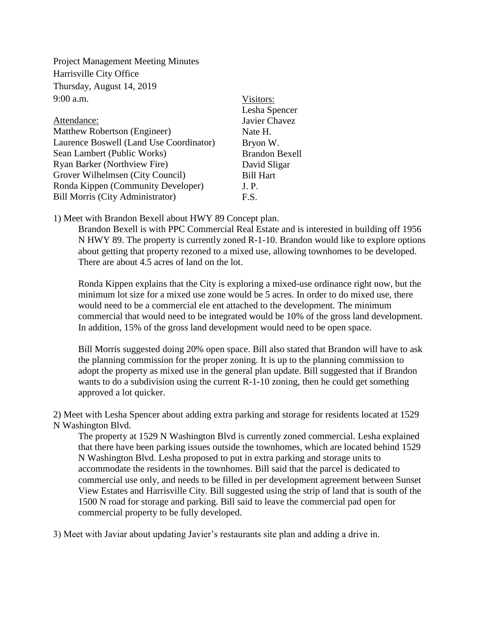Project Management Meeting Minutes Harrisville City Office Thursday, August 14, 2019  $9:00$  a.m.

|                                         | Lesha Spencer         |
|-----------------------------------------|-----------------------|
| Attendance:                             | Javier Chavez         |
| Matthew Robertson (Engineer)            | Nate H.               |
| Laurence Boswell (Land Use Coordinator) | Bryon W.              |
| Sean Lambert (Public Works)             | <b>Brandon Bexell</b> |
| <b>Ryan Barker (Northview Fire)</b>     | David Sligar          |
| Grover Wilhelmsen (City Council)        | <b>Bill Hart</b>      |
| Ronda Kippen (Community Developer)      | J. P.                 |
| <b>Bill Morris (City Administrator)</b> | F.S.                  |

1) Meet with Brandon Bexell about HWY 89 Concept plan.

Brandon Bexell is with PPC Commercial Real Estate and is interested in building off 1956 N HWY 89. The property is currently zoned R-1-10. Brandon would like to explore options about getting that property rezoned to a mixed use, allowing townhomes to be developed. There are about 4.5 acres of land on the lot.

Visitors:

Ronda Kippen explains that the City is exploring a mixed-use ordinance right now, but the minimum lot size for a mixed use zone would be 5 acres. In order to do mixed use, there would need to be a commercial ele ent attached to the development. The minimum commercial that would need to be integrated would be 10% of the gross land development. In addition, 15% of the gross land development would need to be open space.

Bill Morris suggested doing 20% open space. Bill also stated that Brandon will have to ask the planning commission for the proper zoning. It is up to the planning commission to adopt the property as mixed use in the general plan update. Bill suggested that if Brandon wants to do a subdivision using the current R-1-10 zoning, then he could get something approved a lot quicker.

2) Meet with Lesha Spencer about adding extra parking and storage for residents located at 1529 N Washington Blvd.

The property at 1529 N Washington Blvd is currently zoned commercial. Lesha explained that there have been parking issues outside the townhomes, which are located behind 1529 N Washington Blvd. Lesha proposed to put in extra parking and storage units to accommodate the residents in the townhomes. Bill said that the parcel is dedicated to commercial use only, and needs to be filled in per development agreement between Sunset View Estates and Harrisville City. Bill suggested using the strip of land that is south of the 1500 N road for storage and parking. Bill said to leave the commercial pad open for commercial property to be fully developed.

3) Meet with Javiar about updating Javier's restaurants site plan and adding a drive in.